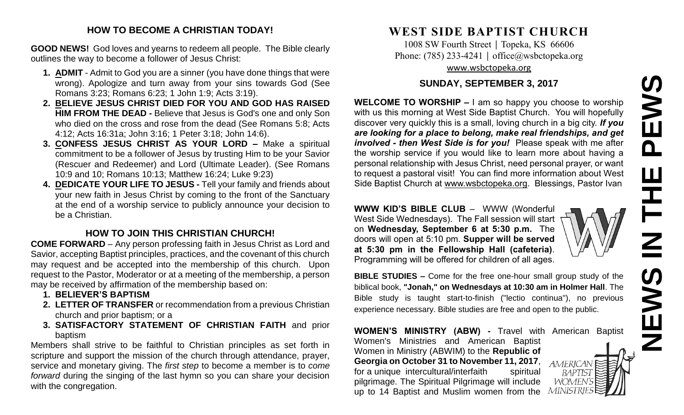# **NEWS IN THE PEWS**PEWS Ш HH<br>N<br>N Z

# **HOW TO BECOME A CHRISTIAN TODAY!**

**GOOD NEWS!** God loves and yearns to redeem all people. The Bible clearly outlines the way to become a follower of Jesus Christ:

- **1. ADMIT** Admit to God you are a sinner (you have done things that were wrong). Apologize and turn away from your sins towards God (See Romans 3:23; Romans 6:23; 1 John 1:9; Acts 3:19).
- **2. BELIEVE JESUS CHRIST DIED FOR YOU AND GOD HAS RAISED HIM FROM THE DEAD -** Believe that Jesus is God's one and only Son who died on the cross and rose from the dead (See Romans 5:8; Acts 4:12; Acts 16:31a; John 3:16; 1 Peter 3:18; John 14:6).
- **3. CONFESS JESUS CHRIST AS YOUR LORD –** Make a spiritual commitment to be a follower of Jesus by trusting Him to be your Savior (Rescuer and Redeemer) and Lord (Ultimate Leader). (See Romans 10:9 and 10; Romans 10:13; Matthew 16:24; Luke 9:23)
- **4. DEDICATE YOUR LIFE TO JESUS -** Tell your family and friends about your new faith in Jesus Christ by coming to the front of the Sanctuary at the end of a worship service to publicly announce your decision to be a Christian.

# **HOW TO JOIN THIS CHRISTIAN CHURCH!**

**COME FORWARD** – Any person professing faith in Jesus Christ as Lord and Savior, accepting Baptist principles, practices, and the covenant of this church may request and be accepted into the membership of this church. Upon request to the Pastor, Moderator or at a meeting of the membership, a person may be received by affirmation of the membership based on:

- **1. BELIEVER'S BAPTISM**
- **2. LETTER OF TRANSFER** or recommendation from a previous Christian church and prior baptism; or a
- **3. SATISFACTORY STATEMENT OF CHRISTIAN FAITH** and prior baptism

Members shall strive to be faithful to Christian principles as set forth in scripture and support the mission of the church through attendance, prayer, service and monetary giving. The *first step* to become a member is to *come forward* during the singing of the last hymn so you can share your decision with the congregation.

# **WEST SIDE BAPTIST CHURCH**

1008 SW Fourth Street | Topeka, KS 66606 Phone: (785) 233-4241 │ [office@wsbctopeka.org](mailto:office@wsbctopeka.org) [www.wsbctopeka.org](http://www.wsbctopeka.org/)

# **SUNDAY, SEPTEMBER 3, 2017**

**WELCOME TO WORSHIP –** I am so happy you choose to worship with us this morning at West Side Baptist Church. You will hopefully discover very quickly this is a small, loving church in a big city. *If you are looking for a place to belong, make real friendships, and get involved - then West Side is for you!* Please speak with me after the worship service if you would like to learn more about having a personal relationship with Jesus Christ, need personal prayer, or want to request a pastoral visit! You can find more information about West Side Baptist Church at [www.wsbctopeka.org.](http://www.wsbctopeka.org/) Blessings, Pastor Ivan

**WWW KID'S BIBLE CLUB** – WWW (Wonderful West Side Wednesdays). The Fall session will start on **Wednesday, September 6 at 5:30 p.m.** The doors will open at 5:10 pm. **Supper will be served at 5:30 pm in the Fellowship Hall (cafeteria)**. Programming will be offered for children of all ages.

**BIBLE STUDIES –** Come for the free one-hour small group study of the biblical book, **"Jonah," on Wednesdays at 10:30 am in Holmer Hall**. The Bible study is taught start-to-finish ("lectio continua"), no previous experience necessary. Bible studies are free and open to the public.

**WOMEN'S MINISTRY (ABW) -** Travel with American Baptist Women's Ministries and American Baptist Women in Ministry (ABWIM) to the **Republic of Georgia on October 31 to November 11, 2017**, AMERICAN for a unique intercultural/interfaith spiritual BAPTIST pilgrimage. The Spiritual Pilgrimage will include *WOMEN'S* up to 14 Baptist and Muslim women from the MINISTR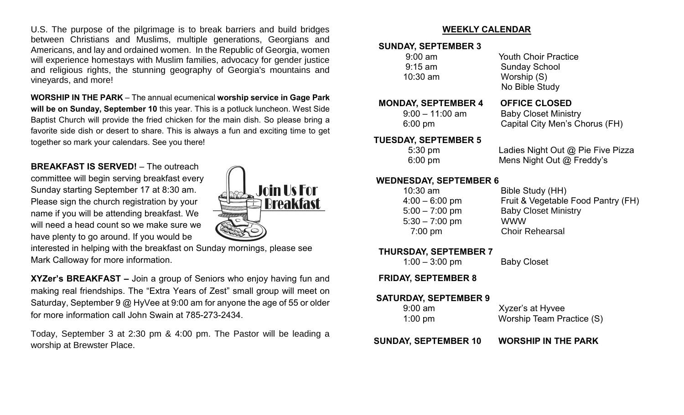U.S. The purpose of the pilgrimage is to break barriers and build bridges between Christians and Muslims, multiple generations, Georgians and Americans, and lay and ordained women. In the Republic of Georgia, women will experience homestays with Muslim families, advocacy for gender justice and religious rights, the stunning geography of Georgia's mountains and vineyards, and more!

**WORSHIP IN THE PARK** – The annual ecumenical **worship service in Gage Park will be on Sunday, September 10** this year. This is a potluck luncheon. West Side Baptist Church will provide the fried chicken for the main dish. So please bring a favorite side dish or desert to share. This is always a fun and exciting time to get together so mark your calendars. See you there!

**BREAKFAST IS SERVED!** – The outreach committee will begin serving breakfast every Sunday starting September 17 at 8:30 am. Please sign the church registration by your name if you will be attending breakfast. We will need a head count so we make sure we have plenty to go around. If you would be



interested in helping with the breakfast on Sunday mornings, please see Mark Calloway for more information.

**XYZer's BREAKFAST –** Join a group of Seniors who enjoy having fun and making real friendships. The "Extra Years of Zest" small group will meet on Saturday, September 9 @ HyVee at 9:00 am for anyone the age of 55 or older for more information call John Swain at 785-273-2434.

Today, September 3 at 2:30 pm & 4:00 pm. The Pastor will be leading a worship at Brewster Place.

# **WEEKLY CALENDAR**

# **SUNDAY, SEPTEMBER 3**

| $9:00$ am |  |
|-----------|--|
| $9:15$ am |  |
| 10:30 am  |  |
|           |  |

## **MONDAY, SEPTEMBER 4 OFFICE CLOSED**

Youth Choir Practice Sunday School Worship (S) No Bible Study

9:00 – 11:00 am Baby Closet Ministry 6:00 pm Capital City Men's Chorus (FH)

# **TUESDAY, SEPTEMBER 5**

5:30 pm Ladies Night Out @ Pie Five Pizza 6:00 pm Mens Night Out @ Freddy's

# **WEDNESDAY, SEPTEMBER 6**

| $10:30$ am       | Bible Study (HH)                   |
|------------------|------------------------------------|
| $4:00 - 6:00$ pm | Fruit & Vegetable Food Pantry (FH) |
| $5:00 - 7:00$ pm | <b>Baby Closet Ministry</b>        |
| 5:30 – 7:00 pm   | <b>WWW</b>                         |
| 7:00 pm          | <b>Choir Rehearsal</b>             |
|                  |                                    |

# **THURSDAY, SEPTEMBER 7**

1:00 – 3:00 pm Baby Closet

# **FRIDAY, SEPTEMBER 8**

# **SATURDAY, SEPTEMBER 9**

| $1:00 \text{ pm}$ | Worship Team Practice (S) |
|-------------------|---------------------------|
| $9:00 \text{ am}$ | Xyzer's at Hyvee          |

 **SUNDAY, SEPTEMBER 10 WORSHIP IN THE PARK**